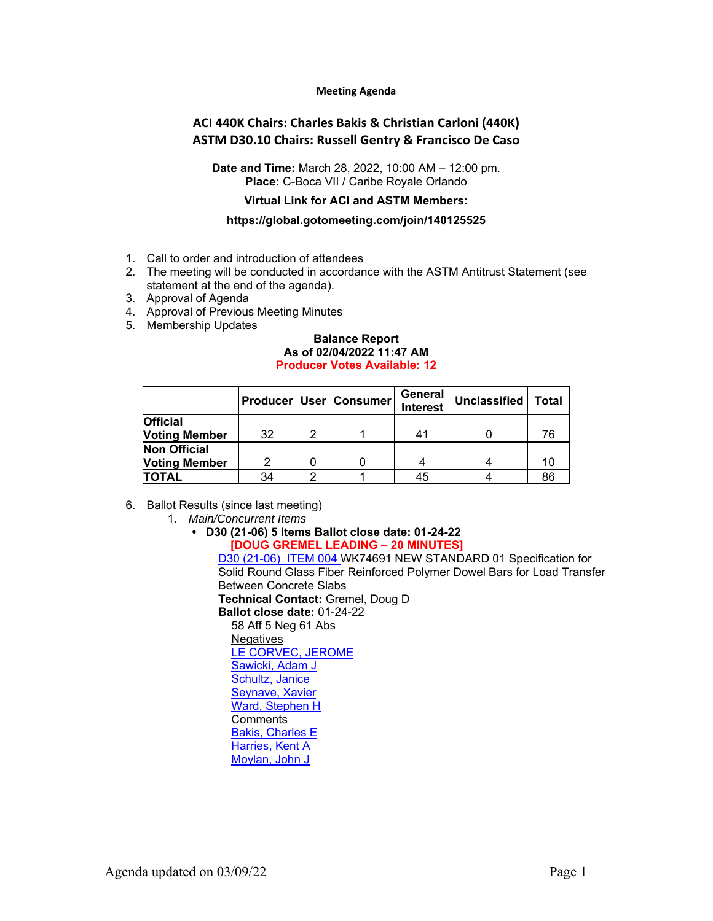#### **Meeting Agenda**

## **ACI 440K Chairs: Charles Bakis & Christian Carloni (440K) ASTM D30.10 Chairs: Russell Gentry & Francisco De Caso**

**Date and Time:** March 28, 2022, 10:00 AM – 12:00 pm. **Place:** C-Boca VII / Caribe Royale Orlando

## **Virtual Link for ACI and ASTM Members:**

#### **https://global.gotomeeting.com/join/140125525**

- 1. Call to order and introduction of attendees
- 2. The meeting will be conducted in accordance with the ASTM Antitrust Statement (see statement at the end of the agenda).
- 3. Approval of Agenda
- 4. Approval of Previous Meeting Minutes
- 5. Membership Updates

#### **Balance Report As of 02/04/2022 11:47 AM Producer Votes Available: 12**

|                      |    |   | <b>Producer   User   Consumer</b> | General<br><b>Interest</b> | Unclassified | <b>Total</b> |
|----------------------|----|---|-----------------------------------|----------------------------|--------------|--------------|
| <b>Official</b>      |    |   |                                   |                            |              |              |
| <b>Voting Member</b> | 32 | 2 |                                   | 41                         |              | 76           |
| <b>Non Official</b>  |    |   |                                   |                            |              |              |
| <b>Voting Member</b> | っ  |   |                                   |                            |              | 10           |
| <b>TOTAL</b>         | 34 | ◠ |                                   | 45                         |              | 86           |

- 6. Ballot Results (since last meeting)
	- 1. *Main/Concurrent Items*

# **• D30 (21-06) 5 Items Ballot close date: 01-24-22**

**[DOUG GREMEL LEADING – 20 MINUTES]** D30 (21-06) ITEM 004 WK74691 NEW STANDARD 01 Specification for Solid Round Glass Fiber Reinforced Polymer Dowel Bars for Load Transfer Between Concrete Slabs **Technical Contact:** Gremel, Doug D **Ballot close date:** 01-24-22 58 Aff 5 Neg 61 Abs **Negatives** LE CORVEC, JEROME Sawicki, Adam J Schultz, Janice Seynave, Xavier Ward, Stephen H Comments Bakis, Charles E

Harries, Kent A Moylan, John J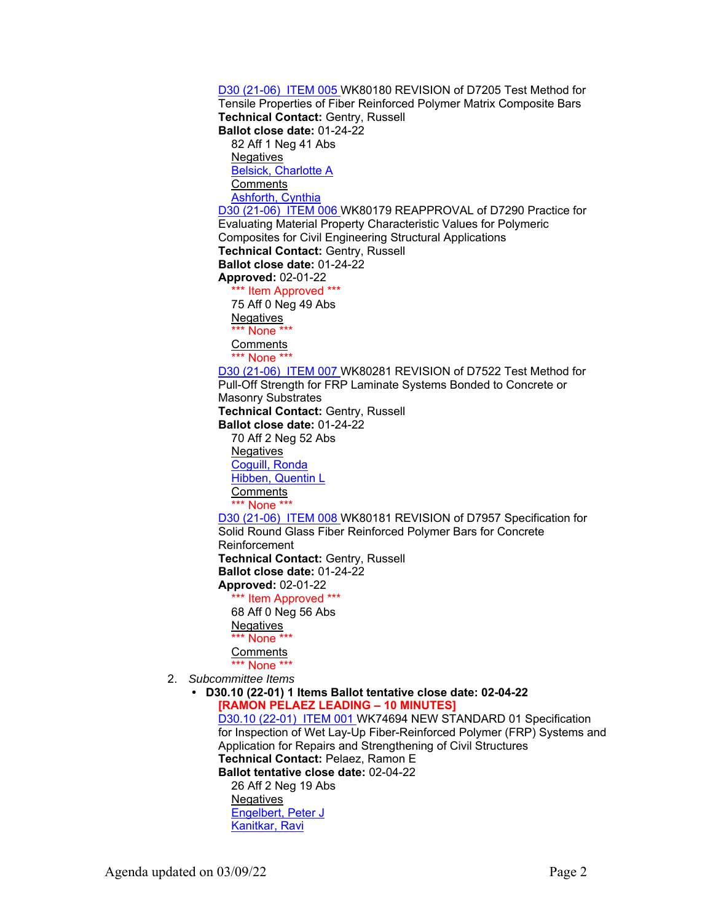D30 (21-06) ITEM 005 WK80180 REVISION of D7205 Test Method for Tensile Properties of Fiber Reinforced Polymer Matrix Composite Bars **Technical Contact:** Gentry, Russell **Ballot close date:** 01-24-22 82 Aff 1 Neg 41 Abs **Negatives** Belsick, Charlotte A **Comments Ashforth, Cynthia** D30 (21-06) ITEM 006 WK80179 REAPPROVAL of D7290 Practice for Evaluating Material Property Characteristic Values for Polymeric Composites for Civil Engineering Structural Applications **Technical Contact:** Gentry, Russell **Ballot close date:** 01-24-22 **Approved:** 02-01-22 \*\*\* Item Approved \*\*\* 75 Aff 0 Neg 49 Abs **Negatives** \*\*\* None \*\*\* **Comments** \*\*\* None \*\*\* D30 (21-06) ITEM 007 WK80281 REVISION of D7522 Test Method for Pull-Off Strength for FRP Laminate Systems Bonded to Concrete or Masonry Substrates **Technical Contact:** Gentry, Russell **Ballot close date:** 01-24-22 70 Aff 2 Neg 52 Abs **Negatives** Coguill, Ronda Hibben, Quentin L **Comments** \*\*\* None \*\*\* D30 (21-06) ITEM 008 WK80181 REVISION of D7957 Specification for Solid Round Glass Fiber Reinforced Polymer Bars for Concrete Reinforcement **Technical Contact:** Gentry, Russell **Ballot close date:** 01-24-22 **Approved:** 02-01-22 \*\*\* Item Approved \*\*\* 68 Aff 0 Neg 56 Abs Negatives \*\*\* None \*\* **Comments** \*\*\* None \*\*\* 2. *Subcommittee Items*  **• D30.10 (22-01) 1 Items Ballot tentative close date: 02-04-22 [RAMON PELAEZ LEADING – 10 MINUTES]** D30.10 (22-01) ITEM 001 WK74694 NEW STANDARD 01 Specification for Inspection of Wet Lay-Up Fiber-Reinforced Polymer (FRP) Systems and Application for Repairs and Strengthening of Civil Structures **Technical Contact:** Pelaez, Ramon E **Ballot tentative close date:** 02-04-22 26 Aff 2 Neg 19 Abs **Negatives** Engelbert, Peter J Kanitkar, Ravi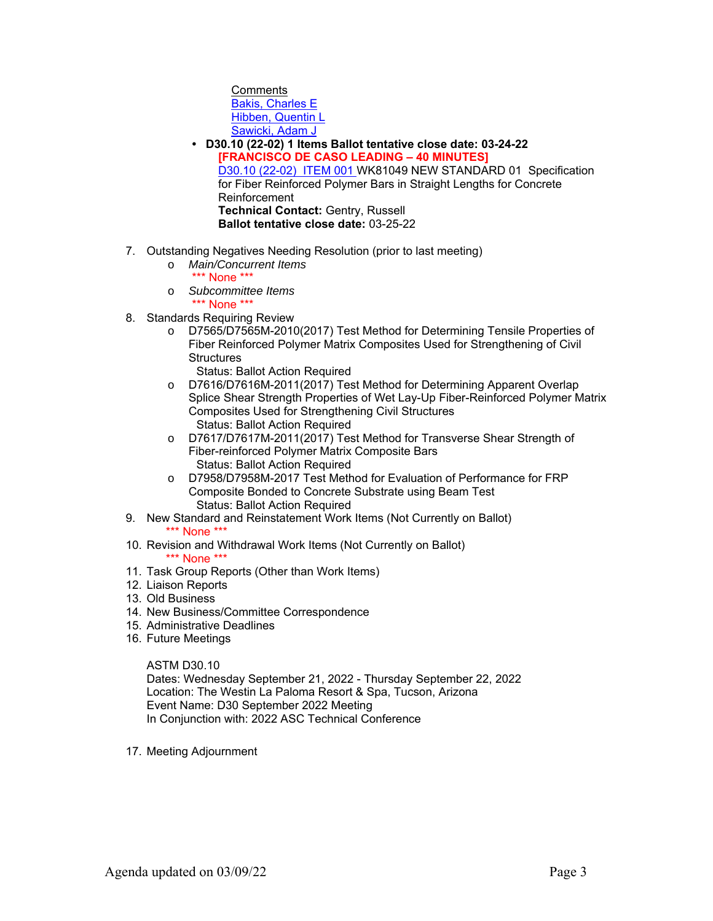**Comments** Bakis, Charles E Hibben, Quentin L Sawicki, Adam J

- **D30.10 (22-02) 1 Items Ballot tentative close date: 03-24-22 [FRANCISCO DE CASO LEADING – 40 MINUTES]** D30.10 (22-02) ITEM 001 WK81049 NEW STANDARD 01 Specification for Fiber Reinforced Polymer Bars in Straight Lengths for Concrete Reinforcement **Technical Contact:** Gentry, Russell **Ballot tentative close date:** 03-25-22
- 7. Outstanding Negatives Needing Resolution (prior to last meeting)
	- o *Main/Concurrent Items*
	- \*\*\* None \*\*\* o *Subcommittee Items*

\*\*\* None \*\*\*

- 8. Standards Requiring Review
	- o D7565/D7565M-2010(2017) Test Method for Determining Tensile Properties of Fiber Reinforced Polymer Matrix Composites Used for Strengthening of Civil **Structures** 
		- Status: Ballot Action Required
	- o D7616/D7616M-2011(2017) Test Method for Determining Apparent Overlap Splice Shear Strength Properties of Wet Lay-Up Fiber-Reinforced Polymer Matrix Composites Used for Strengthening Civil Structures Status: Ballot Action Required
	- o D7617/D7617M-2011(2017) Test Method for Transverse Shear Strength of Fiber-reinforced Polymer Matrix Composite Bars Status: Ballot Action Required
	- o D7958/D7958M-2017 Test Method for Evaluation of Performance for FRP Composite Bonded to Concrete Substrate using Beam Test Status: Ballot Action Required
- 9. New Standard and Reinstatement Work Items (Not Currently on Ballot) \*\*\* None \*\*\*
- 10. Revision and Withdrawal Work Items (Not Currently on Ballot) \*\*\* None \*\*\*
- 11. Task Group Reports (Other than Work Items)
- 12. Liaison Reports
- 13. Old Business
- 14. New Business/Committee Correspondence
- 15. Administrative Deadlines
- 16. Future Meetings

## ASTM D30.10

Dates: Wednesday September 21, 2022 - Thursday September 22, 2022 Location: The Westin La Paloma Resort & Spa, Tucson, Arizona Event Name: D30 September 2022 Meeting In Conjunction with: 2022 ASC Technical Conference

17. Meeting Adjournment